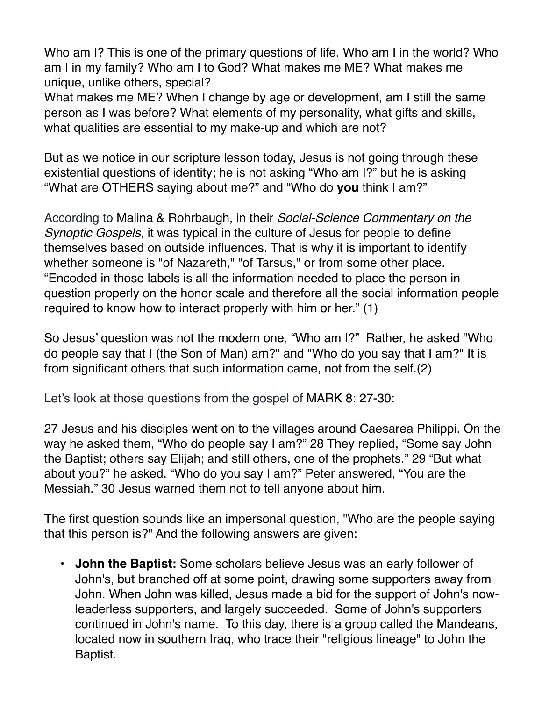Who am I? This is one of the primary questions of life. Who am I in the world? Who am I in my family? Who am I to God? What makes me ME? What makes me unique, unlike others, special?

What makes me ME? When I change by age or development, am I still the same person as I was before? What elements of my personality, what gifts and skills, what qualities are essential to my make-up and which are not?

But as we notice in our scripture lesson today, Jesus is not going through these existential questions of identity; he is not asking "Who am I?" but he is asking "What are OTHERS saying about me?" and "Who do **you** think I am?"

According to Malina & Rohrbaugh, in their *Social-Science Commentary on the Synoptic Gospels*, it was typical in the culture of Jesus for people to define themselves based on outside influences. That is why it is important to identify whether someone is "of Nazareth," "of Tarsus," or from some other place. "Encoded in those labels is all the information needed to place the person in question properly on the honor scale and therefore all the social information people required to know how to interact properly with him or her." (1)

So Jesus' question was not the modern one, "Who am I?" Rather, he asked "Who do people say that I (the Son of Man) am?" and "Who do you say that I am?" It is from significant others that such information came, not from the self.(2)

Let's look at those questions from the gospel of MARK 8: 27-30:

27 Jesus and his disciples went on to the villages around Caesarea Philippi. On the way he asked them, "Who do people say I am?" 28 They replied, "Some say John the Baptist; others say Elijah; and still others, one of the prophets." 29 "But what about you?" he asked. "Who do you say I am?" Peter answered, "You are the Messiah." 30 Jesus warned them not to tell anyone about him.

The first question sounds like an impersonal question, "Who are the people saying that this person is?" And the following answers are given:

• **John the Baptist:** Some scholars believe Jesus was an early follower of John's, but branched off at some point, drawing some supporters away from John. When John was killed, Jesus made a bid for the support of John's nowleaderless supporters, and largely succeeded. Some of John's supporters continued in John's name. To this day, there is a group called the Mandeans, located now in southern Iraq, who trace their "religious lineage" to John the Baptist.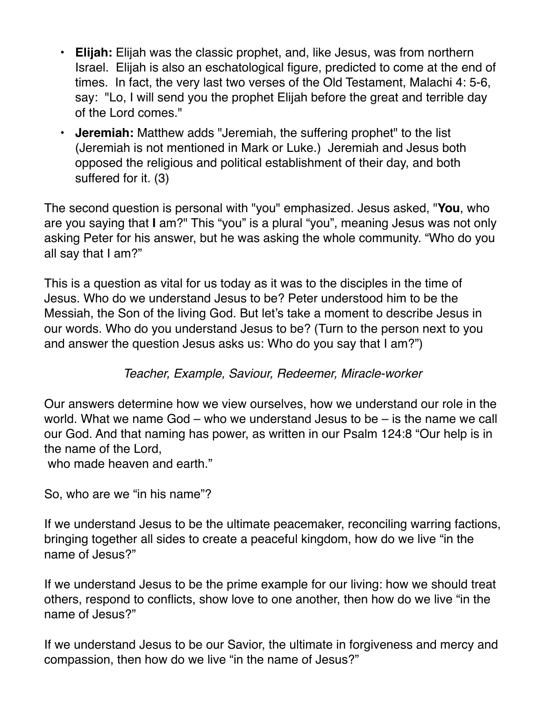- **Elijah:** Elijah was the classic prophet, and, like Jesus, was from northern Israel. Elijah is also an eschatological figure, predicted to come at the end of times. In fact, the very last two verses of the Old Testament, Malachi 4: 5-6, say: "Lo, I will send you the prophet Elijah before the great and terrible day of the Lord comes."
- **Jeremiah:** Matthew adds "Jeremiah, the suffering prophet" to the list (Jeremiah is not mentioned in Mark or Luke.) Jeremiah and Jesus both opposed the religious and political establishment of their day, and both suffered for it. (3)

The second question is personal with "you" emphasized. Jesus asked, "**You**, who are you saying that **I** am?" This "you" is a plural "you", meaning Jesus was not only asking Peter for his answer, but he was asking the whole community. "Who do you all say that I am?"

This is a question as vital for us today as it was to the disciples in the time of Jesus. Who do we understand Jesus to be? Peter understood him to be the Messiah, the Son of the living God. But let's take a moment to describe Jesus in our words. Who do you understand Jesus to be? (Turn to the person next to you and answer the question Jesus asks us: Who do you say that I am?")

## *Teacher, Example, Saviour, Redeemer, Miracle-worker*

Our answers determine how we view ourselves, how we understand our role in the world. What we name God – who we understand Jesus to be – is the name we call our God. And that naming has power, as written in our Psalm 124:8 "Our help is in the name of the Lord,

who made heaven and earth."

So, who are we "in his name"?

If we understand Jesus to be the ultimate peacemaker, reconciling warring factions, bringing together all sides to create a peaceful kingdom, how do we live "in the name of Jesus?"

If we understand Jesus to be the prime example for our living: how we should treat others, respond to conflicts, show love to one another, then how do we live "in the name of Jesus?"

If we understand Jesus to be our Savior, the ultimate in forgiveness and mercy and compassion, then how do we live "in the name of Jesus?"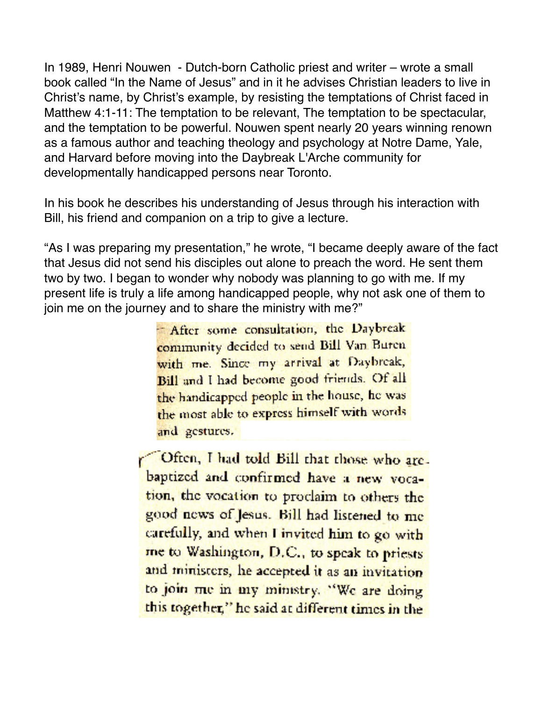In 1989, Henri Nouwen - Dutch-born Catholic priest and writer – wrote a small book called "In the Name of Jesus" and in it he advises Christian leaders to live in Christ's name, by Christ's example, by resisting the temptations of Christ faced in Matthew 4:1-11: The temptation to be relevant, The temptation to be spectacular, and the temptation to be powerful. Nouwen spent nearly 20 years winning renown as a famous author and teaching theology and psychology at Notre Dame, Yale, and Harvard before moving into the Daybreak L'Arche community for developmentally handicapped persons near Toronto.

In his book he describes his understanding of Jesus through his interaction with Bill, his friend and companion on a trip to give a lecture.

"As I was preparing my presentation," he wrote, "I became deeply aware of the fact that Jesus did not send his disciples out alone to preach the word. He sent them two by two. I began to wonder why nobody was planning to go with me. If my present life is truly a life among handicapped people, why not ask one of them to join me on the journey and to share the ministry with me?"

> - After some consultation, the Daybreak community decided to send Bill Van Buren with me. Since my arrival at Daybreak, Bill and I had become good friends. Of all the handicapped people in the house, he was the most able to express himself with words and gestures.

Often, I had told Bill that those who arebaptized and confirmed have a new vocation, the vocation to proclaim to others the good news of Jesus. Bill had listened to me carefully, and when I invited him to go with me to Washington, D.C., to speak to priests and ministers, he accepted it as an invitation to join me in my ministry. "We are doing this together," he said at different times in the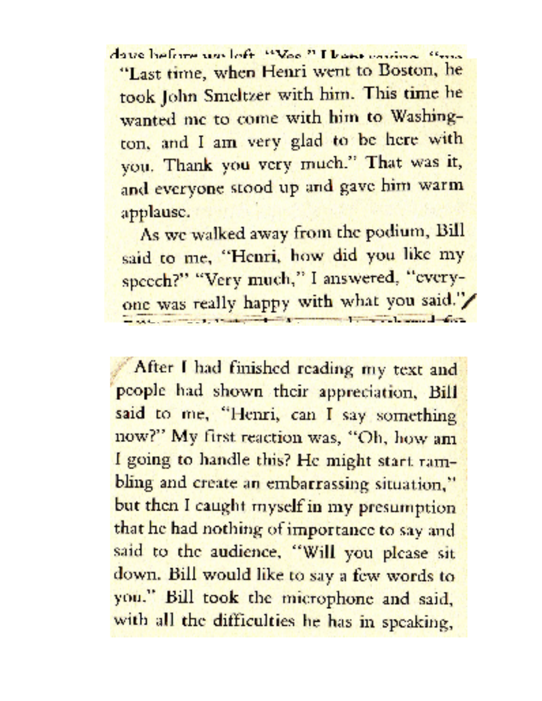dave before use loft "Voe." I have raving " "Last time, when Henri went to Boston, he took John Smeltzer with him. This time he wanted mc to come with him to Washington, and I am very glad to be here with you. Thank you very much." That was it, and everyone stood up and gave him warm applause.

As we walked away from the podium, Bill said to me, "Henri, how did you like my speech?" "Very much," I answered, "everyone was really happy with what you said."/ **The Committee of the Committee of the Committee** 

After I had finished reading my text and people had shown their appreciation, Bill said to me, "Henri, can I say something now?" My first reaction was, "Oh, how am I going to handle this? He might start rambling and create an embarrassing situation," but then I caught myself in my presumption that he had nothing of importance to say and said to the audience, "Will you please sit down. Bill would like to say a few words to you." Bill took the microphone and said, with all the difficulties he has in speaking,